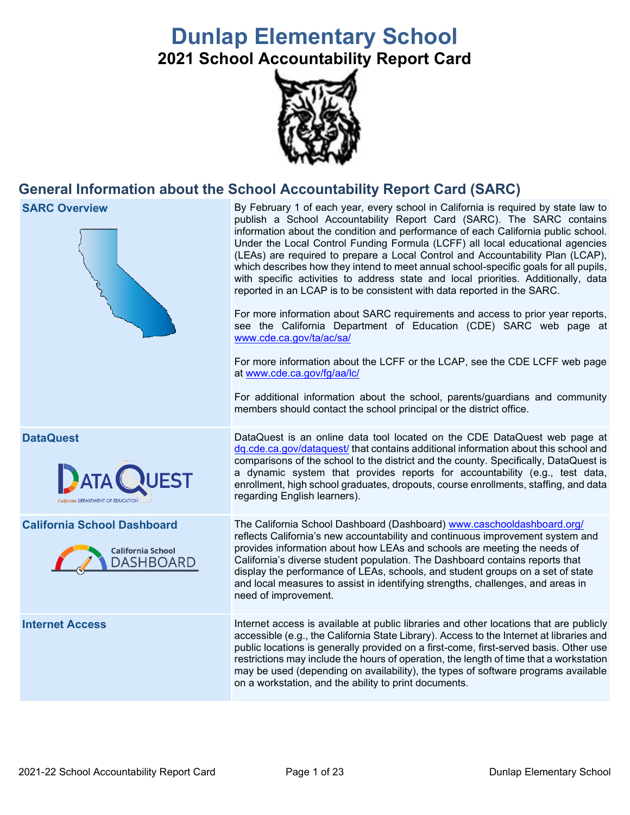# **Dunlap Elementary School**

**2021 School Accountability Report Card**



## **General Information about the School Accountability Report Card (SARC)**

**SARC Overview** By February 1 of each year, every school in California is required by state law to publish a School Accountability Report Card (SARC). The SARC contains information about the condition and performance of each California public school. Under the Local Control Funding Formula (LCFF) all local educational agencies (LEAs) are required to prepare a Local Control and Accountability Plan (LCAP), which describes how they intend to meet annual school-specific goals for all pupils, with specific activities to address state and local priorities. Additionally, data reported in an LCAP is to be consistent with data reported in the SARC. For more information about SARC requirements and access to prior year reports, see the California Department of Education (CDE) SARC web page at [www.cde.ca.gov/ta/ac/sa/](https://www.cde.ca.gov/ta/ac/sa/) For more information about the LCFF or the LCAP, see the CDE LCFF web page at [www.cde.ca.gov/fg/aa/lc/](https://www.cde.ca.gov/fg/aa/lc/) For additional information about the school, parents/guardians and community members should contact the school principal or the district office. **DataQuest** DataQuest is an online data tool located on the CDE DataQuest web page at [dq.cde.ca.gov/dataquest/](https://dq.cde.ca.gov/dataquest/) that contains additional information about this school and comparisons of the school to the district and the county. Specifically, DataQuest is a dynamic system that provides reports for accountability (e.g., test data, **ATA** enrollment, high school graduates, dropouts, course enrollments, staffing, and data regarding English learners). **California School Dashboard** The California School Dashboard (Dashboard) [www.caschooldashboard.org/](http://www.caschooldashboard.org/) reflects California's new accountability and continuous improvement system and provides information about how LEAs and schools are meeting the needs of **California School** California's diverse student population. The Dashboard contains reports that **DASHBOARD** display the performance of LEAs, schools, and student groups on a set of state and local measures to assist in identifying strengths, challenges, and areas in need of improvement. **Internet Access** Internet access is available at public libraries and other locations that are publicly accessible (e.g., the California State Library). Access to the Internet at libraries and public locations is generally provided on a first-come, first-served basis. Other use restrictions may include the hours of operation, the length of time that a workstation may be used (depending on availability), the types of software programs available on a workstation, and the ability to print documents.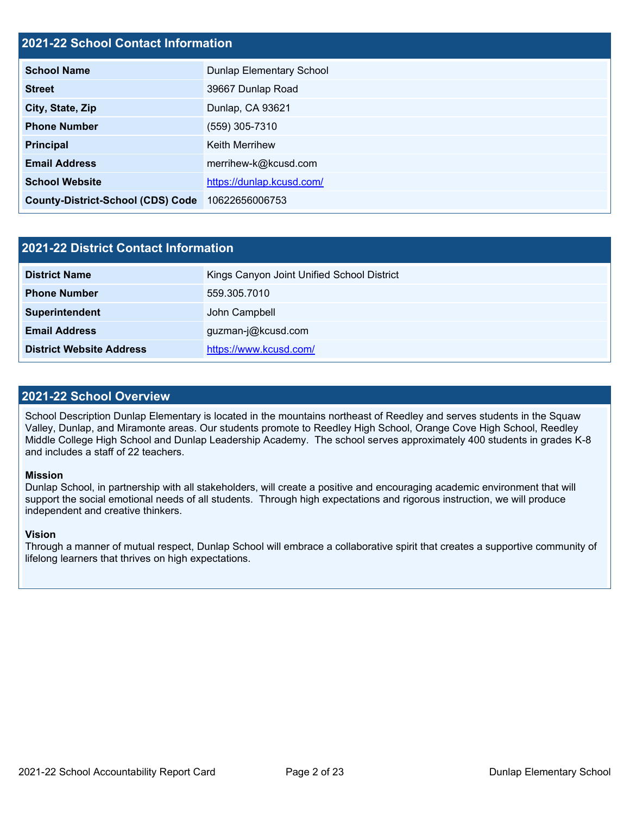## **2021-22 School Contact Information**

| <b>School Name</b>                       | Dunlap Elementary School  |  |  |  |
|------------------------------------------|---------------------------|--|--|--|
| <b>Street</b>                            | 39667 Dunlap Road         |  |  |  |
| City, State, Zip                         | Dunlap, CA 93621          |  |  |  |
| <b>Phone Number</b>                      | (559) 305-7310            |  |  |  |
| <b>Principal</b>                         | <b>Keith Merrihew</b>     |  |  |  |
| <b>Email Address</b>                     | merrihew-k@kcusd.com      |  |  |  |
| <b>School Website</b>                    | https://dunlap.kcusd.com/ |  |  |  |
| <b>County-District-School (CDS) Code</b> | 10622656006753            |  |  |  |

| <b>2021-22 District Contact Information</b> |                                            |  |  |  |  |
|---------------------------------------------|--------------------------------------------|--|--|--|--|
| <b>District Name</b>                        | Kings Canyon Joint Unified School District |  |  |  |  |
| <b>Phone Number</b>                         | 559.305.7010                               |  |  |  |  |
| Superintendent                              | John Campbell                              |  |  |  |  |
| <b>Email Address</b>                        | guzman-j@kcusd.com                         |  |  |  |  |
| <b>District Website Address</b>             | https://www.kcusd.com/                     |  |  |  |  |

## **2021-22 School Overview**

School Description Dunlap Elementary is located in the mountains northeast of Reedley and serves students in the Squaw Valley, Dunlap, and Miramonte areas. Our students promote to Reedley High School, Orange Cove High School, Reedley Middle College High School and Dunlap Leadership Academy. The school serves approximately 400 students in grades K-8 and includes a staff of 22 teachers.

#### **Mission**

Dunlap School, in partnership with all stakeholders, will create a positive and encouraging academic environment that will support the social emotional needs of all students. Through high expectations and rigorous instruction, we will produce independent and creative thinkers.

#### **Vision**

Through a manner of mutual respect, Dunlap School will embrace a collaborative spirit that creates a supportive community of lifelong learners that thrives on high expectations.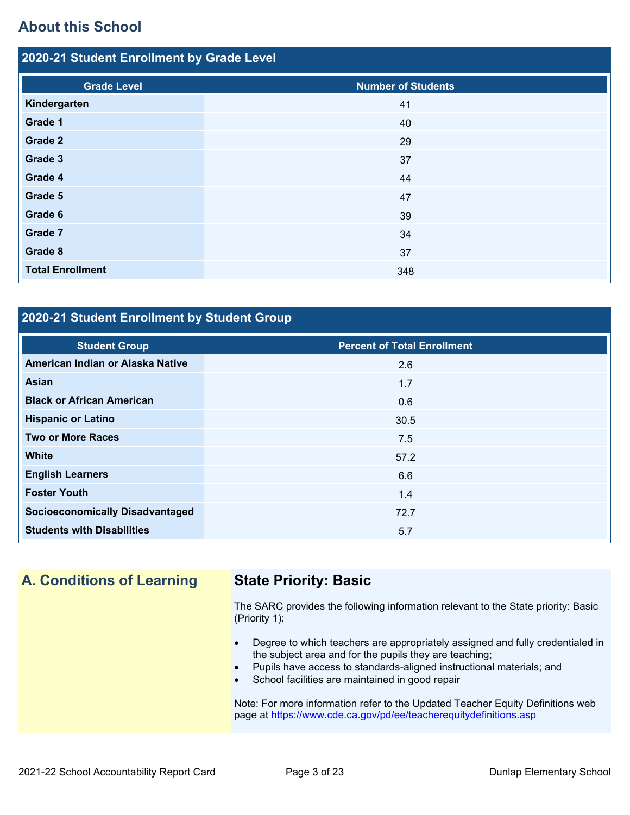## **About this School**

| 2020-21 Student Enrollment by Grade Level |                           |  |  |  |  |
|-------------------------------------------|---------------------------|--|--|--|--|
| <b>Grade Level</b>                        | <b>Number of Students</b> |  |  |  |  |
| Kindergarten                              | 41                        |  |  |  |  |
| Grade 1                                   | 40                        |  |  |  |  |
| Grade 2                                   | 29                        |  |  |  |  |
| Grade 3                                   | 37                        |  |  |  |  |
| Grade 4                                   | 44                        |  |  |  |  |
| Grade 5                                   | 47                        |  |  |  |  |
| Grade 6                                   | 39                        |  |  |  |  |
| Grade 7                                   | 34                        |  |  |  |  |
| Grade 8                                   | 37                        |  |  |  |  |
| <b>Total Enrollment</b>                   | 348                       |  |  |  |  |

## **2020-21 Student Enrollment by Student Group**

| <b>Student Group</b>                   | <b>Percent of Total Enrollment</b> |
|----------------------------------------|------------------------------------|
| American Indian or Alaska Native       | 2.6                                |
| Asian                                  | 1.7                                |
| <b>Black or African American</b>       | 0.6                                |
| <b>Hispanic or Latino</b>              | 30.5                               |
| <b>Two or More Races</b>               | 7.5                                |
| <b>White</b>                           | 57.2                               |
| <b>English Learners</b>                | 6.6                                |
| <b>Foster Youth</b>                    | 1.4                                |
| <b>Socioeconomically Disadvantaged</b> | 72.7                               |
| <b>Students with Disabilities</b>      | 5.7                                |

## **A. Conditions of Learning State Priority: Basic**

The SARC provides the following information relevant to the State priority: Basic (Priority 1):

- Degree to which teachers are appropriately assigned and fully credentialed in the subject area and for the pupils they are teaching;
- Pupils have access to standards-aligned instructional materials; and
- School facilities are maintained in good repair

Note: For more information refer to the Updated Teacher Equity Definitions web page at<https://www.cde.ca.gov/pd/ee/teacherequitydefinitions.asp>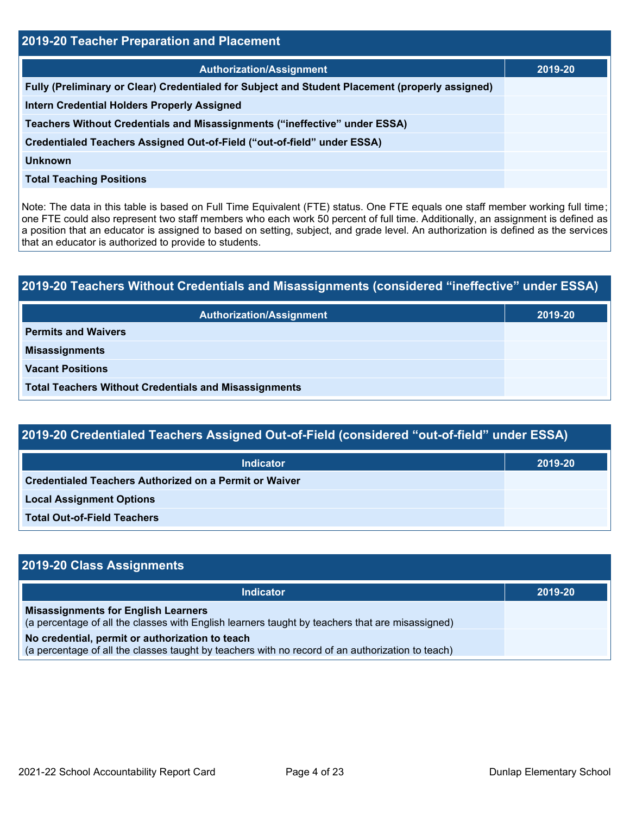| <b>2019-20 Teacher Preparation and Placement</b>                                                |         |  |  |  |
|-------------------------------------------------------------------------------------------------|---------|--|--|--|
| <b>Authorization/Assignment</b>                                                                 | 2019-20 |  |  |  |
| Fully (Preliminary or Clear) Credentialed for Subject and Student Placement (properly assigned) |         |  |  |  |
| <b>Intern Credential Holders Properly Assigned</b>                                              |         |  |  |  |
| Teachers Without Credentials and Misassignments ("ineffective" under ESSA)                      |         |  |  |  |
| Credentialed Teachers Assigned Out-of-Field ("out-of-field" under ESSA)                         |         |  |  |  |
| <b>Unknown</b>                                                                                  |         |  |  |  |
| <b>Total Teaching Positions</b>                                                                 |         |  |  |  |

Note: The data in this table is based on Full Time Equivalent (FTE) status. One FTE equals one staff member working full time; one FTE could also represent two staff members who each work 50 percent of full time. Additionally, an assignment is defined as a position that an educator is assigned to based on setting, subject, and grade level. An authorization is defined as the services that an educator is authorized to provide to students.

# **2019-20 Teachers Without Credentials and Misassignments (considered "ineffective" under ESSA) Authorization/Assignment 2019-20 Permits and Waivers Misassignments Vacant Positions Total Teachers Without Credentials and Misassignments**

| 2019-20 Credentialed Teachers Assigned Out-of-Field (considered "out-of-field" under ESSA) |         |  |  |  |
|--------------------------------------------------------------------------------------------|---------|--|--|--|
| <b>Indicator</b>                                                                           | 2019-20 |  |  |  |
| Credentialed Teachers Authorized on a Permit or Waiver                                     |         |  |  |  |
| <b>Local Assignment Options</b>                                                            |         |  |  |  |
| <b>Total Out-of-Field Teachers</b>                                                         |         |  |  |  |

| 2019-20 Class Assignments                                                                                                                           |         |
|-----------------------------------------------------------------------------------------------------------------------------------------------------|---------|
| <b>Indicator</b>                                                                                                                                    | 2019-20 |
| <b>Misassignments for English Learners</b><br>(a percentage of all the classes with English learners taught by teachers that are misassigned)       |         |
| No credential, permit or authorization to teach<br>(a percentage of all the classes taught by teachers with no record of an authorization to teach) |         |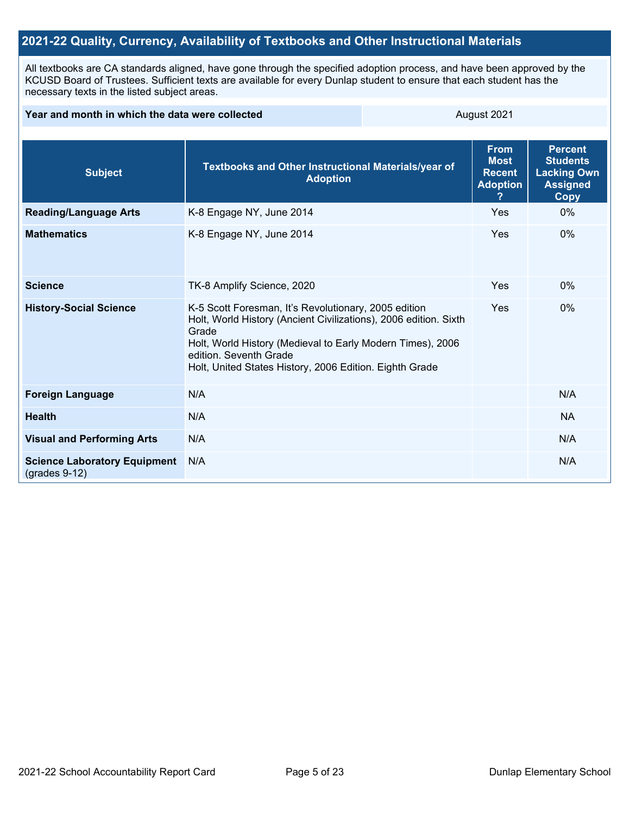## **2021-22 Quality, Currency, Availability of Textbooks and Other Instructional Materials**

All textbooks are CA standards aligned, have gone through the specified adoption process, and have been approved by the KCUSD Board of Trustees. Sufficient texts are available for every Dunlap student to ensure that each student has the necessary texts in the listed subject areas.

| Year and month in which the data were collected        |                                                                                                                                                                                                                                                                                      | August 2021 |                                                                |                                                                                    |  |
|--------------------------------------------------------|--------------------------------------------------------------------------------------------------------------------------------------------------------------------------------------------------------------------------------------------------------------------------------------|-------------|----------------------------------------------------------------|------------------------------------------------------------------------------------|--|
|                                                        |                                                                                                                                                                                                                                                                                      |             |                                                                |                                                                                    |  |
| <b>Subject</b>                                         | Textbooks and Other Instructional Materials/year of<br><b>Adoption</b>                                                                                                                                                                                                               |             | <b>From</b><br><b>Most</b><br><b>Recent</b><br><b>Adoption</b> | <b>Percent</b><br><b>Students</b><br><b>Lacking Own</b><br><b>Assigned</b><br>Copy |  |
| <b>Reading/Language Arts</b>                           | K-8 Engage NY, June 2014                                                                                                                                                                                                                                                             |             | Yes                                                            | $0\%$                                                                              |  |
| <b>Mathematics</b>                                     | K-8 Engage NY, June 2014                                                                                                                                                                                                                                                             | Yes         | $0\%$                                                          |                                                                                    |  |
| <b>Science</b>                                         | TK-8 Amplify Science, 2020                                                                                                                                                                                                                                                           | Yes         | $0\%$                                                          |                                                                                    |  |
| <b>History-Social Science</b>                          | K-5 Scott Foresman, It's Revolutionary, 2005 edition<br>Holt, World History (Ancient Civilizations), 2006 edition. Sixth<br>Grade<br>Holt, World History (Medieval to Early Modern Times), 2006<br>edition. Seventh Grade<br>Holt, United States History, 2006 Edition. Eighth Grade |             | Yes                                                            | $0\%$                                                                              |  |
| <b>Foreign Language</b>                                | N/A                                                                                                                                                                                                                                                                                  |             |                                                                | N/A                                                                                |  |
| <b>Health</b>                                          | N/A                                                                                                                                                                                                                                                                                  |             |                                                                | <b>NA</b>                                                                          |  |
| <b>Visual and Performing Arts</b>                      | N/A                                                                                                                                                                                                                                                                                  |             |                                                                | N/A                                                                                |  |
| <b>Science Laboratory Equipment</b><br>$(grades 9-12)$ | N/A                                                                                                                                                                                                                                                                                  |             | N/A                                                            |                                                                                    |  |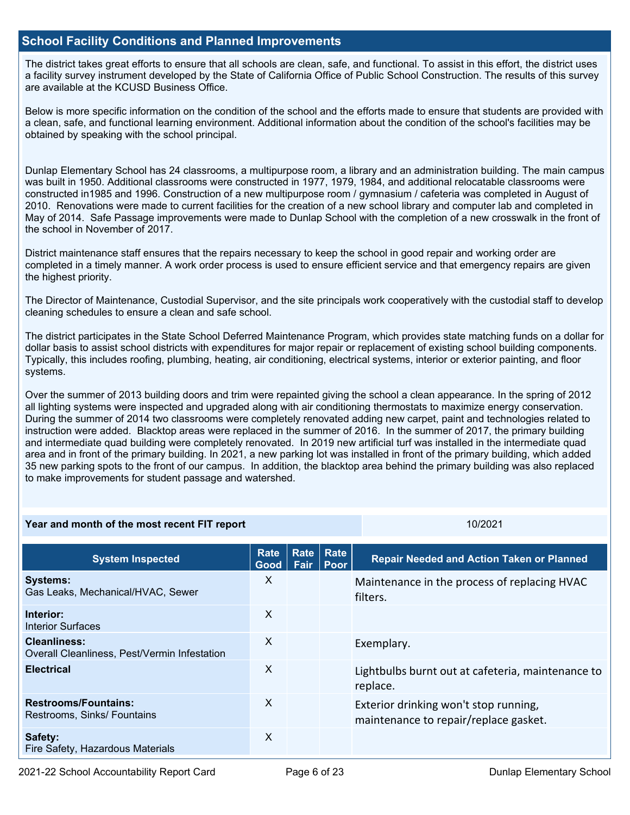## **School Facility Conditions and Planned Improvements**

The district takes great efforts to ensure that all schools are clean, safe, and functional. To assist in this effort, the district uses a facility survey instrument developed by the State of California Office of Public School Construction. The results of this survey are available at the KCUSD Business Office.

Below is more specific information on the condition of the school and the efforts made to ensure that students are provided with a clean, safe, and functional learning environment. Additional information about the condition of the school's facilities may be obtained by speaking with the school principal.

Dunlap Elementary School has 24 classrooms, a multipurpose room, a library and an administration building. The main campus was built in 1950. Additional classrooms were constructed in 1977, 1979, 1984, and additional relocatable classrooms were constructed in1985 and 1996. Construction of a new multipurpose room / gymnasium / cafeteria was completed in August of 2010. Renovations were made to current facilities for the creation of a new school library and computer lab and completed in May of 2014. Safe Passage improvements were made to Dunlap School with the completion of a new crosswalk in the front of the school in November of 2017.

District maintenance staff ensures that the repairs necessary to keep the school in good repair and working order are completed in a timely manner. A work order process is used to ensure efficient service and that emergency repairs are given the highest priority.

The Director of Maintenance, Custodial Supervisor, and the site principals work cooperatively with the custodial staff to develop cleaning schedules to ensure a clean and safe school.

The district participates in the State School Deferred Maintenance Program, which provides state matching funds on a dollar for dollar basis to assist school districts with expenditures for major repair or replacement of existing school building components. Typically, this includes roofing, plumbing, heating, air conditioning, electrical systems, interior or exterior painting, and floor systems.

Over the summer of 2013 building doors and trim were repainted giving the school a clean appearance. In the spring of 2012 all lighting systems were inspected and upgraded along with air conditioning thermostats to maximize energy conservation. During the summer of 2014 two classrooms were completely renovated adding new carpet, paint and technologies related to instruction were added. Blacktop areas were replaced in the summer of 2016. In the summer of 2017, the primary building and intermediate quad building were completely renovated. In 2019 new artificial turf was installed in the intermediate quad area and in front of the primary building. In 2021, a new parking lot was installed in front of the primary building, which added 35 new parking spots to the front of our campus. In addition, the blacktop area behind the primary building was also replaced to make improvements for student passage and watershed.

**Year and month of the most recent FIT report** 10/2021 10/2021

| <b>System Inspected</b>                                             | <b>Rate</b><br>Good | <b>Rate</b><br>Fair | <b>Rate</b><br>Poor | <b>Repair Needed and Action Taken or Planned</b>                               |
|---------------------------------------------------------------------|---------------------|---------------------|---------------------|--------------------------------------------------------------------------------|
| <b>Systems:</b><br>Gas Leaks, Mechanical/HVAC, Sewer                | X                   |                     |                     | Maintenance in the process of replacing HVAC<br>filters.                       |
| Interior:<br>Interior Surfaces                                      | $\mathsf{X}$        |                     |                     |                                                                                |
| <b>Cleanliness:</b><br>Overall Cleanliness, Pest/Vermin Infestation | X                   |                     |                     | Exemplary.                                                                     |
| <b>Electrical</b>                                                   | X                   |                     |                     | Lightbulbs burnt out at cafeteria, maintenance to<br>replace.                  |
| <b>Restrooms/Fountains:</b><br>Restrooms, Sinks/ Fountains          | X                   |                     |                     | Exterior drinking won't stop running,<br>maintenance to repair/replace gasket. |
| Safety:<br>Fire Safety, Hazardous Materials                         | X                   |                     |                     |                                                                                |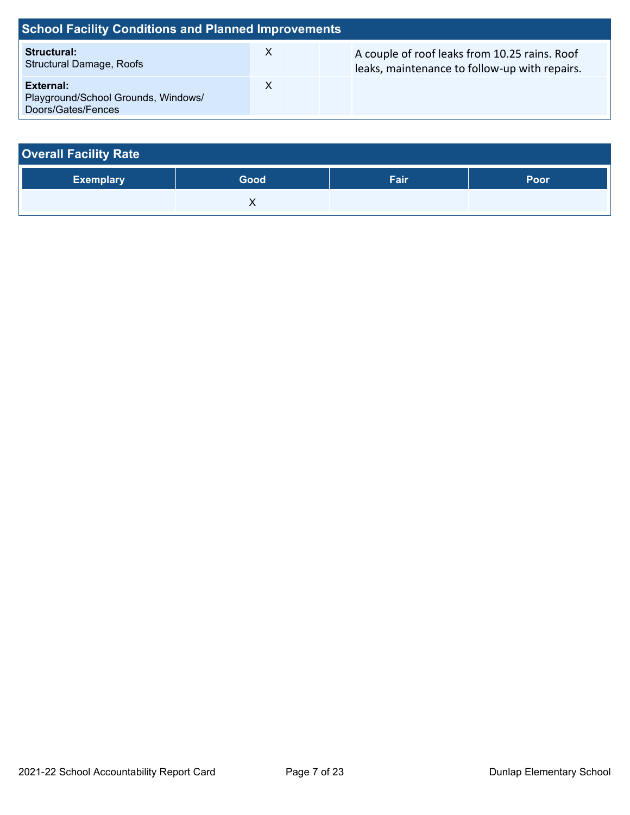| <b>School Facility Conditions and Planned Improvements</b>             |   |  |                                                                                                |  |  |  |  |
|------------------------------------------------------------------------|---|--|------------------------------------------------------------------------------------------------|--|--|--|--|
| <b>Structural:</b><br><b>Structural Damage, Roofs</b>                  | X |  | A couple of roof leaks from 10.25 rains. Roof<br>leaks, maintenance to follow-up with repairs. |  |  |  |  |
| External:<br>Playground/School Grounds, Windows/<br>Doors/Gates/Fences |   |  |                                                                                                |  |  |  |  |

| <b>Overall Facility Rate</b> |      |      |      |  |  |  |
|------------------------------|------|------|------|--|--|--|
| <b>Exemplary</b>             | Good | Fair | Poor |  |  |  |
|                              |      |      |      |  |  |  |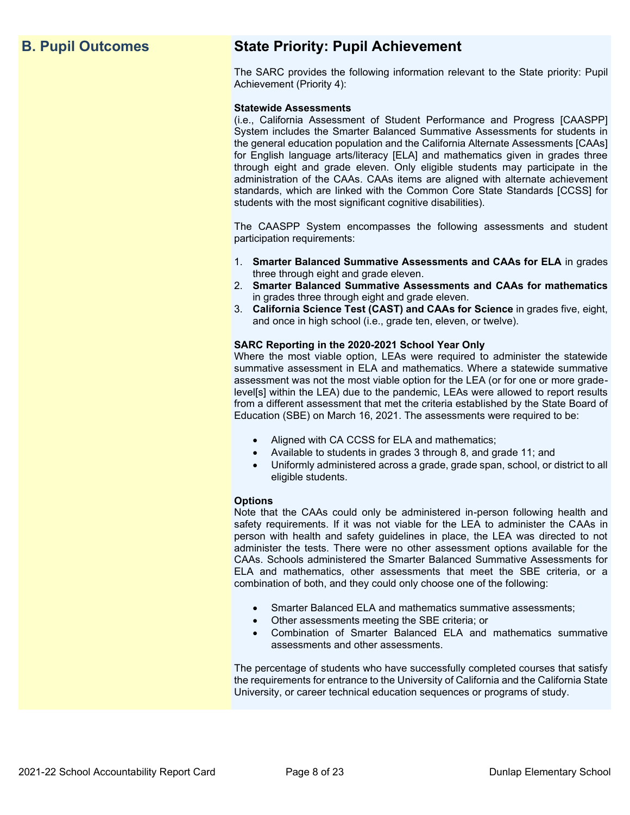## **B. Pupil Outcomes State Priority: Pupil Achievement**

The SARC provides the following information relevant to the State priority: Pupil Achievement (Priority 4):

#### **Statewide Assessments**

(i.e., California Assessment of Student Performance and Progress [CAASPP] System includes the Smarter Balanced Summative Assessments for students in the general education population and the California Alternate Assessments [CAAs] for English language arts/literacy [ELA] and mathematics given in grades three through eight and grade eleven. Only eligible students may participate in the administration of the CAAs. CAAs items are aligned with alternate achievement standards, which are linked with the Common Core State Standards [CCSS] for students with the most significant cognitive disabilities).

The CAASPP System encompasses the following assessments and student participation requirements:

- 1. **Smarter Balanced Summative Assessments and CAAs for ELA** in grades three through eight and grade eleven.
- 2. **Smarter Balanced Summative Assessments and CAAs for mathematics** in grades three through eight and grade eleven.
- 3. **California Science Test (CAST) and CAAs for Science** in grades five, eight, and once in high school (i.e., grade ten, eleven, or twelve).

#### **SARC Reporting in the 2020-2021 School Year Only**

Where the most viable option, LEAs were required to administer the statewide summative assessment in ELA and mathematics. Where a statewide summative assessment was not the most viable option for the LEA (or for one or more gradelevel[s] within the LEA) due to the pandemic, LEAs were allowed to report results from a different assessment that met the criteria established by the State Board of Education (SBE) on March 16, 2021. The assessments were required to be:

- Aligned with CA CCSS for ELA and mathematics;
- Available to students in grades 3 through 8, and grade 11; and
- Uniformly administered across a grade, grade span, school, or district to all eligible students.

#### **Options**

Note that the CAAs could only be administered in-person following health and safety requirements. If it was not viable for the LEA to administer the CAAs in person with health and safety guidelines in place, the LEA was directed to not administer the tests. There were no other assessment options available for the CAAs. Schools administered the Smarter Balanced Summative Assessments for ELA and mathematics, other assessments that meet the SBE criteria, or a combination of both, and they could only choose one of the following:

- Smarter Balanced ELA and mathematics summative assessments;
- Other assessments meeting the SBE criteria; or
- Combination of Smarter Balanced ELA and mathematics summative assessments and other assessments.

The percentage of students who have successfully completed courses that satisfy the requirements for entrance to the University of California and the California State University, or career technical education sequences or programs of study.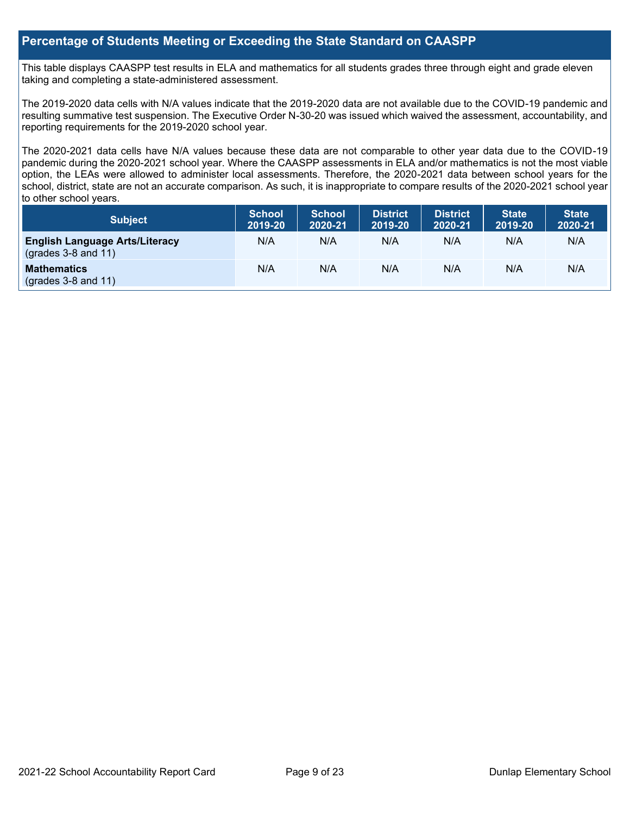## **Percentage of Students Meeting or Exceeding the State Standard on CAASPP**

This table displays CAASPP test results in ELA and mathematics for all students grades three through eight and grade eleven taking and completing a state-administered assessment.

The 2019-2020 data cells with N/A values indicate that the 2019-2020 data are not available due to the COVID-19 pandemic and resulting summative test suspension. The Executive Order N-30-20 was issued which waived the assessment, accountability, and reporting requirements for the 2019-2020 school year.

The 2020-2021 data cells have N/A values because these data are not comparable to other year data due to the COVID-19 pandemic during the 2020-2021 school year. Where the CAASPP assessments in ELA and/or mathematics is not the most viable option, the LEAs were allowed to administer local assessments. Therefore, the 2020-2021 data between school years for the school, district, state are not an accurate comparison. As such, it is inappropriate to compare results of the 2020-2021 school year to other school years.

| Subject                                                              | <b>School</b><br>2019-20 | <b>School</b><br>2020-21 | <b>District</b><br>2019-20 | <b>District</b><br>2020-21 | <b>State</b><br>2019-20 | <b>State</b><br>2020-21 |
|----------------------------------------------------------------------|--------------------------|--------------------------|----------------------------|----------------------------|-------------------------|-------------------------|
| <b>English Language Arts/Literacy</b><br>$\left($ grades 3-8 and 11) | N/A                      | N/A                      | N/A                        | N/A                        | N/A                     | N/A                     |
| <b>Mathematics</b><br>$(grades 3-8 and 11)$                          | N/A                      | N/A                      | N/A                        | N/A                        | N/A                     | N/A                     |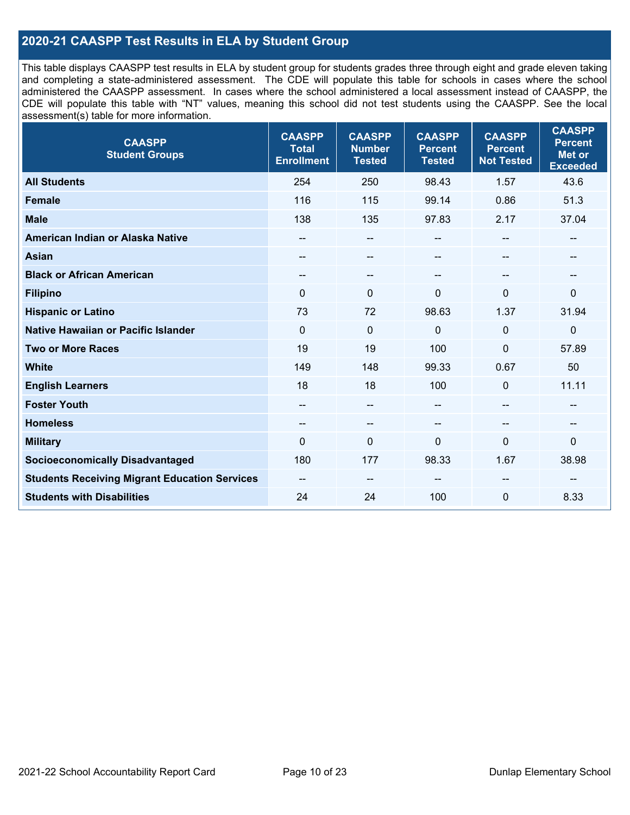## **2020-21 CAASPP Test Results in ELA by Student Group**

This table displays CAASPP test results in ELA by student group for students grades three through eight and grade eleven taking and completing a state-administered assessment. The CDE will populate this table for schools in cases where the school administered the CAASPP assessment. In cases where the school administered a local assessment instead of CAASPP, the CDE will populate this table with "NT" values, meaning this school did not test students using the CAASPP. See the local assessment(s) table for more information.

| <b>CAASPP</b><br><b>Student Groups</b>               | <b>CAASPP</b><br><b>Total</b><br><b>Enrollment</b> | <b>CAASPP</b><br><b>Number</b><br><b>Tested</b> | <b>CAASPP</b><br><b>Percent</b><br><b>Tested</b> | <b>CAASPP</b><br><b>Percent</b><br><b>Not Tested</b> | <b>CAASPP</b><br><b>Percent</b><br><b>Met or</b><br><b>Exceeded</b> |
|------------------------------------------------------|----------------------------------------------------|-------------------------------------------------|--------------------------------------------------|------------------------------------------------------|---------------------------------------------------------------------|
| <b>All Students</b>                                  | 254                                                | 250                                             | 98.43                                            | 1.57                                                 | 43.6                                                                |
| Female                                               | 116                                                | 115                                             | 99.14                                            | 0.86                                                 | 51.3                                                                |
| <b>Male</b>                                          | 138                                                | 135                                             | 97.83                                            | 2.17                                                 | 37.04                                                               |
| American Indian or Alaska Native                     | --                                                 | $\overline{\phantom{a}}$                        | --                                               | $-$                                                  | --                                                                  |
| <b>Asian</b>                                         |                                                    | --                                              | --                                               |                                                      | --                                                                  |
| <b>Black or African American</b>                     | --                                                 | $\overline{\phantom{m}}$                        | --                                               | $\overline{\phantom{a}}$                             | --                                                                  |
| <b>Filipino</b>                                      | $\Omega$                                           | $\mathbf{0}$                                    | $\Omega$                                         | $\Omega$                                             | $\mathbf{0}$                                                        |
| <b>Hispanic or Latino</b>                            | 73                                                 | 72                                              | 98.63                                            | 1.37                                                 | 31.94                                                               |
| <b>Native Hawaiian or Pacific Islander</b>           | $\mathbf 0$                                        | $\pmb{0}$                                       | 0                                                | $\mathbf 0$                                          | 0                                                                   |
| <b>Two or More Races</b>                             | 19                                                 | 19                                              | 100                                              | 0                                                    | 57.89                                                               |
| <b>White</b>                                         | 149                                                | 148                                             | 99.33                                            | 0.67                                                 | 50                                                                  |
| <b>English Learners</b>                              | 18                                                 | 18                                              | 100                                              | 0                                                    | 11.11                                                               |
| <b>Foster Youth</b>                                  | $- -$                                              | $\overline{\phantom{a}}$                        | --                                               | --                                                   | --                                                                  |
| <b>Homeless</b>                                      | --                                                 | $\sim$                                          | --                                               | --                                                   | --                                                                  |
| <b>Military</b>                                      | $\Omega$                                           | $\mathbf 0$                                     | 0                                                | 0                                                    | 0                                                                   |
| <b>Socioeconomically Disadvantaged</b>               | 180                                                | 177                                             | 98.33                                            | 1.67                                                 | 38.98                                                               |
| <b>Students Receiving Migrant Education Services</b> | $- -$                                              | --                                              | --                                               |                                                      |                                                                     |
| <b>Students with Disabilities</b>                    | 24                                                 | 24                                              | 100                                              | 0                                                    | 8.33                                                                |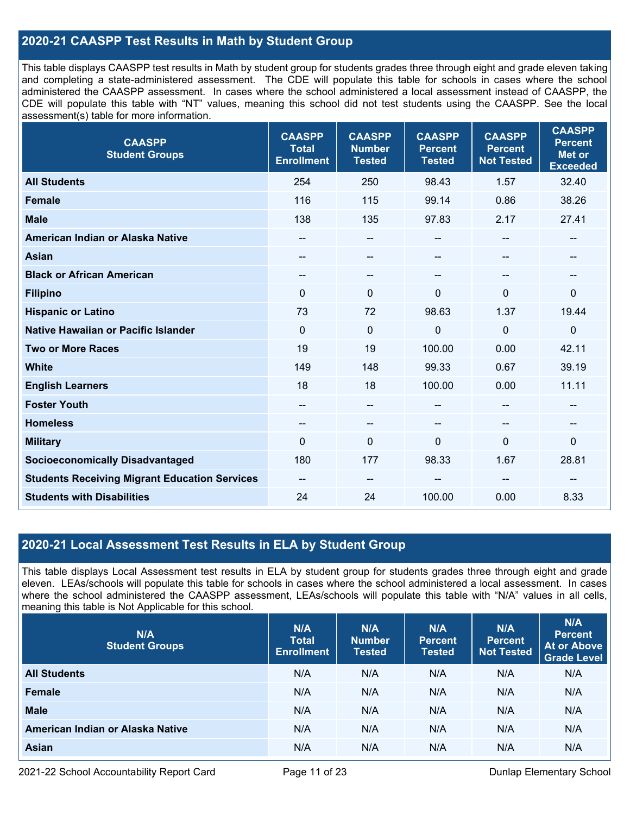## **2020-21 CAASPP Test Results in Math by Student Group**

This table displays CAASPP test results in Math by student group for students grades three through eight and grade eleven taking and completing a state-administered assessment. The CDE will populate this table for schools in cases where the school administered the CAASPP assessment. In cases where the school administered a local assessment instead of CAASPP, the CDE will populate this table with "NT" values, meaning this school did not test students using the CAASPP. See the local assessment(s) table for more information.

| <b>CAASPP</b><br><b>Student Groups</b>               | <b>CAASPP</b><br><b>Total</b><br><b>Enrollment</b> | <b>CAASPP</b><br><b>Number</b><br><b>Tested</b> | <b>CAASPP</b><br><b>Percent</b><br><b>Tested</b> | <b>CAASPP</b><br><b>Percent</b><br><b>Not Tested</b> | <b>CAASPP</b><br><b>Percent</b><br><b>Met or</b><br><b>Exceeded</b> |
|------------------------------------------------------|----------------------------------------------------|-------------------------------------------------|--------------------------------------------------|------------------------------------------------------|---------------------------------------------------------------------|
| <b>All Students</b>                                  | 254                                                | 250                                             | 98.43                                            | 1.57                                                 | 32.40                                                               |
| Female                                               | 116                                                | 115                                             | 99.14                                            | 0.86                                                 | 38.26                                                               |
| <b>Male</b>                                          | 138                                                | 135                                             | 97.83                                            | 2.17                                                 | 27.41                                                               |
| American Indian or Alaska Native                     | --                                                 | --                                              | --                                               | $\sim$                                               | --                                                                  |
| <b>Asian</b>                                         | --                                                 | --                                              | --                                               |                                                      | $\overline{a}$                                                      |
| <b>Black or African American</b>                     | --                                                 | $\qquad \qquad -$                               | --                                               |                                                      | --                                                                  |
| <b>Filipino</b>                                      | $\mathbf{0}$                                       | $\mathbf{0}$                                    | $\Omega$                                         | $\Omega$                                             | $\mathbf 0$                                                         |
| <b>Hispanic or Latino</b>                            | 73                                                 | 72                                              | 98.63                                            | 1.37                                                 | 19.44                                                               |
| Native Hawaiian or Pacific Islander                  | $\mathbf{0}$                                       | $\mathbf 0$                                     | 0                                                | $\Omega$                                             | $\mathbf 0$                                                         |
| <b>Two or More Races</b>                             | 19                                                 | 19                                              | 100.00                                           | 0.00                                                 | 42.11                                                               |
| <b>White</b>                                         | 149                                                | 148                                             | 99.33                                            | 0.67                                                 | 39.19                                                               |
| <b>English Learners</b>                              | 18                                                 | 18                                              | 100.00                                           | 0.00                                                 | 11.11                                                               |
| <b>Foster Youth</b>                                  | $\overline{\phantom{a}}$                           | $\qquad \qquad -$                               | $-$                                              |                                                      | $\qquad \qquad -$                                                   |
| <b>Homeless</b>                                      | $\overline{\phantom{m}}$                           | --                                              | --                                               | --                                                   | --                                                                  |
| <b>Military</b>                                      | $\Omega$                                           | 0                                               | $\Omega$                                         | $\Omega$                                             | $\mathbf 0$                                                         |
| <b>Socioeconomically Disadvantaged</b>               | 180                                                | 177                                             | 98.33                                            | 1.67                                                 | 28.81                                                               |
| <b>Students Receiving Migrant Education Services</b> | --                                                 | --                                              |                                                  |                                                      |                                                                     |
| <b>Students with Disabilities</b>                    | 24                                                 | 24                                              | 100.00                                           | 0.00                                                 | 8.33                                                                |

## **2020-21 Local Assessment Test Results in ELA by Student Group**

This table displays Local Assessment test results in ELA by student group for students grades three through eight and grade eleven. LEAs/schools will populate this table for schools in cases where the school administered a local assessment. In cases where the school administered the CAASPP assessment, LEAs/schools will populate this table with "N/A" values in all cells, meaning this table is Not Applicable for this school.

| N/A<br><b>Student Groups</b>     | N/A<br><b>Total</b><br><b>Enrollment</b> | N/A<br><b>Number</b><br><b>Tested</b> | N/A<br><b>Percent</b><br><b>Tested</b> | N/A<br><b>Percent</b><br><b>Not Tested</b> | N/A<br><b>Percent</b><br><b>At or Above</b><br><b>Grade Level</b> |
|----------------------------------|------------------------------------------|---------------------------------------|----------------------------------------|--------------------------------------------|-------------------------------------------------------------------|
| <b>All Students</b>              | N/A                                      | N/A                                   | N/A                                    | N/A                                        | N/A                                                               |
| Female                           | N/A                                      | N/A                                   | N/A                                    | N/A                                        | N/A                                                               |
| <b>Male</b>                      | N/A                                      | N/A                                   | N/A                                    | N/A                                        | N/A                                                               |
| American Indian or Alaska Native | N/A                                      | N/A                                   | N/A                                    | N/A                                        | N/A                                                               |
| <b>Asian</b>                     | N/A                                      | N/A                                   | N/A                                    | N/A                                        | N/A                                                               |

2021-22 School Accountability Report Card Page 11 of 23 Dunlap Elementary School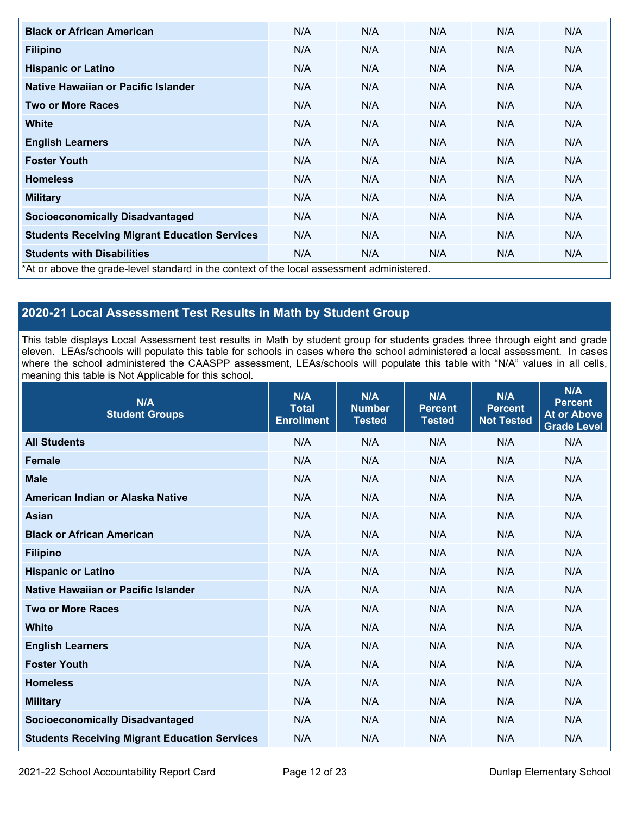| <b>Black or African American</b>                                                           | N/A | N/A | N/A | N/A | N/A |
|--------------------------------------------------------------------------------------------|-----|-----|-----|-----|-----|
| <b>Filipino</b>                                                                            | N/A | N/A | N/A | N/A | N/A |
| <b>Hispanic or Latino</b>                                                                  | N/A | N/A | N/A | N/A | N/A |
| Native Hawaiian or Pacific Islander                                                        | N/A | N/A | N/A | N/A | N/A |
| <b>Two or More Races</b>                                                                   | N/A | N/A | N/A | N/A | N/A |
| <b>White</b>                                                                               | N/A | N/A | N/A | N/A | N/A |
| <b>English Learners</b>                                                                    | N/A | N/A | N/A | N/A | N/A |
| <b>Foster Youth</b>                                                                        | N/A | N/A | N/A | N/A | N/A |
| <b>Homeless</b>                                                                            | N/A | N/A | N/A | N/A | N/A |
| <b>Military</b>                                                                            | N/A | N/A | N/A | N/A | N/A |
| <b>Socioeconomically Disadvantaged</b>                                                     | N/A | N/A | N/A | N/A | N/A |
| <b>Students Receiving Migrant Education Services</b>                                       | N/A | N/A | N/A | N/A | N/A |
| <b>Students with Disabilities</b>                                                          | N/A | N/A | N/A | N/A | N/A |
| *At or above the grade-level standard in the context of the local assessment administered. |     |     |     |     |     |

## **2020-21 Local Assessment Test Results in Math by Student Group**

This table displays Local Assessment test results in Math by student group for students grades three through eight and grade eleven. LEAs/schools will populate this table for schools in cases where the school administered a local assessment. In cases where the school administered the CAASPP assessment, LEAs/schools will populate this table with "N/A" values in all cells, meaning this table is Not Applicable for this school.

| N/A<br><b>Student Groups</b>                         | N/A<br><b>Total</b><br><b>Enrollment</b> | N/A<br><b>Number</b><br><b>Tested</b> | N/A<br><b>Percent</b><br><b>Tested</b> | N/A<br><b>Percent</b><br><b>Not Tested</b> | N/A<br><b>Percent</b><br><b>At or Above</b><br><b>Grade Level</b> |
|------------------------------------------------------|------------------------------------------|---------------------------------------|----------------------------------------|--------------------------------------------|-------------------------------------------------------------------|
| <b>All Students</b>                                  | N/A                                      | N/A                                   | N/A                                    | N/A                                        | N/A                                                               |
| <b>Female</b>                                        | N/A                                      | N/A                                   | N/A                                    | N/A                                        | N/A                                                               |
| <b>Male</b>                                          | N/A                                      | N/A                                   | N/A                                    | N/A                                        | N/A                                                               |
| American Indian or Alaska Native                     | N/A                                      | N/A                                   | N/A                                    | N/A                                        | N/A                                                               |
| <b>Asian</b>                                         | N/A                                      | N/A                                   | N/A                                    | N/A                                        | N/A                                                               |
| <b>Black or African American</b>                     | N/A                                      | N/A                                   | N/A                                    | N/A                                        | N/A                                                               |
| <b>Filipino</b>                                      | N/A                                      | N/A                                   | N/A                                    | N/A                                        | N/A                                                               |
| <b>Hispanic or Latino</b>                            | N/A                                      | N/A                                   | N/A                                    | N/A                                        | N/A                                                               |
| Native Hawaiian or Pacific Islander                  | N/A                                      | N/A                                   | N/A                                    | N/A                                        | N/A                                                               |
| <b>Two or More Races</b>                             | N/A                                      | N/A                                   | N/A                                    | N/A                                        | N/A                                                               |
| <b>White</b>                                         | N/A                                      | N/A                                   | N/A                                    | N/A                                        | N/A                                                               |
| <b>English Learners</b>                              | N/A                                      | N/A                                   | N/A                                    | N/A                                        | N/A                                                               |
| <b>Foster Youth</b>                                  | N/A                                      | N/A                                   | N/A                                    | N/A                                        | N/A                                                               |
| <b>Homeless</b>                                      | N/A                                      | N/A                                   | N/A                                    | N/A                                        | N/A                                                               |
| <b>Military</b>                                      | N/A                                      | N/A                                   | N/A                                    | N/A                                        | N/A                                                               |
| <b>Socioeconomically Disadvantaged</b>               | N/A                                      | N/A                                   | N/A                                    | N/A                                        | N/A                                                               |
| <b>Students Receiving Migrant Education Services</b> | N/A                                      | N/A                                   | N/A                                    | N/A                                        | N/A                                                               |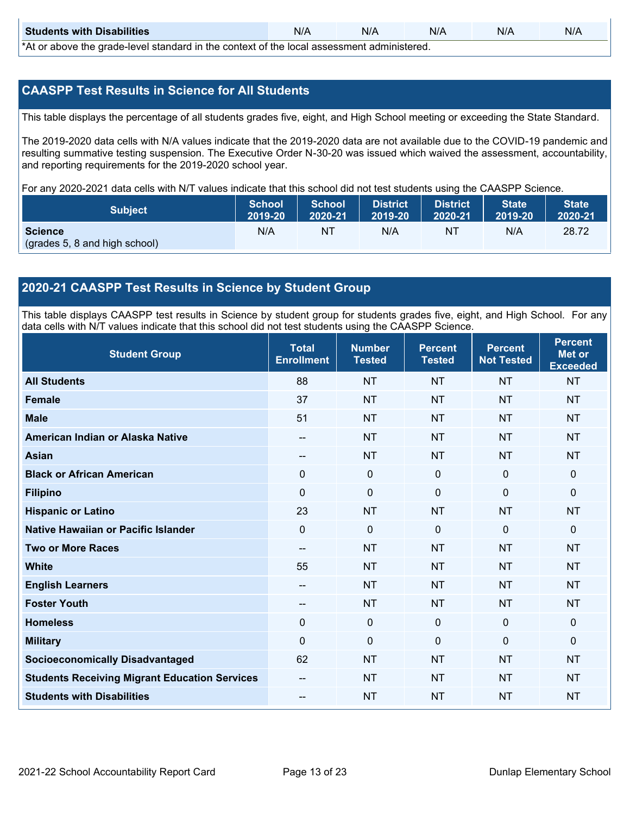| <b>Students with Disabilities</b>                                                           | N/A | N/A | N/A | N/A | N/A |  |  |
|---------------------------------------------------------------------------------------------|-----|-----|-----|-----|-----|--|--|
| *At as above the escale level standard in the context of the local accordinate admissioned. |     |     |     |     |     |  |  |

\*At or above the grade-level standard in the context of the local assessment administered.

## **CAASPP Test Results in Science for All Students**

This table displays the percentage of all students grades five, eight, and High School meeting or exceeding the State Standard.

The 2019-2020 data cells with N/A values indicate that the 2019-2020 data are not available due to the COVID-19 pandemic and resulting summative testing suspension. The Executive Order N-30-20 was issued which waived the assessment, accountability, and reporting requirements for the 2019-2020 school year.

For any 2020-2021 data cells with N/T values indicate that this school did not test students using the CAASPP Science.

| <b>Subject</b>                                  | <b>School</b> | <b>School</b> | <b>District</b> | District | <b>State</b> | <b>State</b> |
|-------------------------------------------------|---------------|---------------|-----------------|----------|--------------|--------------|
|                                                 | 2019-20       | 2020-21       | 2019-20         | 2020-21  | 2019-20      | 2020-21      |
| <b>Science</b><br>(grades 5, 8 and high school) | N/A           | ΝT            | N/A             | NT       | N/A          | 28.72        |

## **2020-21 CAASPP Test Results in Science by Student Group**

This table displays CAASPP test results in Science by student group for students grades five, eight, and High School. For any data cells with N/T values indicate that this school did not test students using the CAASPP Science.

| <b>Student Group</b>                                 | <b>Total</b><br><b>Enrollment</b> | <b>Number</b><br><b>Tested</b> | <b>Percent</b><br><b>Tested</b> | <b>Percent</b><br><b>Not Tested</b> | <b>Percent</b><br><b>Met or</b><br><b>Exceeded</b> |
|------------------------------------------------------|-----------------------------------|--------------------------------|---------------------------------|-------------------------------------|----------------------------------------------------|
| <b>All Students</b>                                  | 88                                | <b>NT</b>                      | <b>NT</b>                       | <b>NT</b>                           | <b>NT</b>                                          |
| <b>Female</b>                                        | 37                                | <b>NT</b>                      | <b>NT</b>                       | <b>NT</b>                           | <b>NT</b>                                          |
| <b>Male</b>                                          | 51                                | <b>NT</b>                      | <b>NT</b>                       | <b>NT</b>                           | <b>NT</b>                                          |
| American Indian or Alaska Native                     | --                                | <b>NT</b>                      | <b>NT</b>                       | <b>NT</b>                           | <b>NT</b>                                          |
| <b>Asian</b>                                         | --                                | <b>NT</b>                      | <b>NT</b>                       | <b>NT</b>                           | <b>NT</b>                                          |
| <b>Black or African American</b>                     | 0                                 | $\mathbf 0$                    | $\mathbf 0$                     | 0                                   | $\mathbf 0$                                        |
| <b>Filipino</b>                                      | $\Omega$                          | $\mathbf 0$                    | $\mathbf{0}$                    | $\Omega$                            | $\mathbf{0}$                                       |
| <b>Hispanic or Latino</b>                            | 23                                | <b>NT</b>                      | <b>NT</b>                       | <b>NT</b>                           | <b>NT</b>                                          |
| <b>Native Hawaiian or Pacific Islander</b>           | 0                                 | 0                              | $\mathbf{0}$                    | $\mathbf{0}$                        | $\mathbf 0$                                        |
| <b>Two or More Races</b>                             | $\overline{\phantom{a}}$          | <b>NT</b>                      | <b>NT</b>                       | <b>NT</b>                           | <b>NT</b>                                          |
| <b>White</b>                                         | 55                                | <b>NT</b>                      | <b>NT</b>                       | <b>NT</b>                           | <b>NT</b>                                          |
| <b>English Learners</b>                              | --                                | <b>NT</b>                      | <b>NT</b>                       | <b>NT</b>                           | <b>NT</b>                                          |
| <b>Foster Youth</b>                                  | --                                | <b>NT</b>                      | <b>NT</b>                       | <b>NT</b>                           | <b>NT</b>                                          |
| <b>Homeless</b>                                      | 0                                 | $\mathbf 0$                    | $\mathbf 0$                     | 0                                   | $\mathbf 0$                                        |
| <b>Military</b>                                      | $\Omega$                          | $\mathbf 0$                    | $\Omega$                        | $\mathbf 0$                         | $\mathbf{0}$                                       |
| <b>Socioeconomically Disadvantaged</b>               | 62                                | <b>NT</b>                      | <b>NT</b>                       | <b>NT</b>                           | <b>NT</b>                                          |
| <b>Students Receiving Migrant Education Services</b> |                                   | <b>NT</b>                      | <b>NT</b>                       | <b>NT</b>                           | <b>NT</b>                                          |
| <b>Students with Disabilities</b>                    | --                                | <b>NT</b>                      | <b>NT</b>                       | <b>NT</b>                           | <b>NT</b>                                          |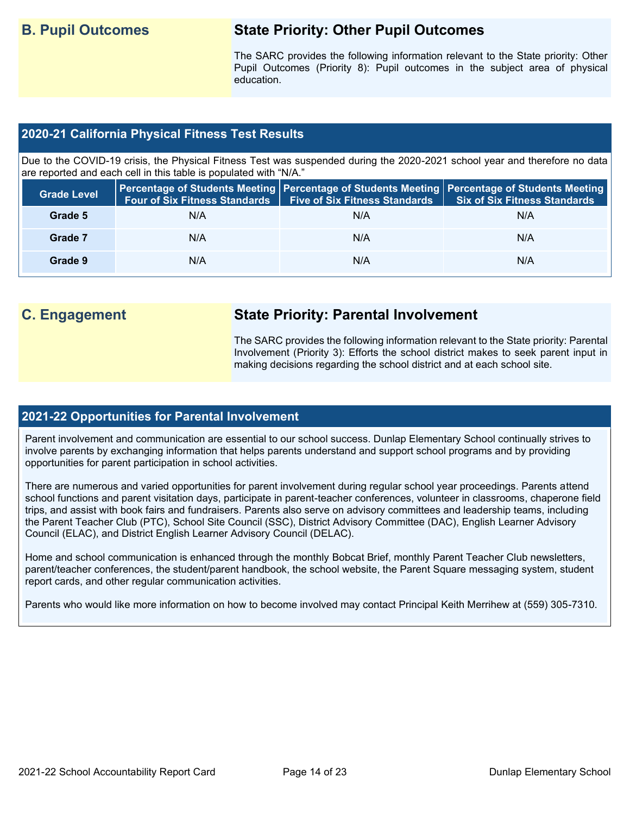## **B. Pupil Outcomes State Priority: Other Pupil Outcomes**

The SARC provides the following information relevant to the State priority: Other Pupil Outcomes (Priority 8): Pupil outcomes in the subject area of physical education.

## **2020-21 California Physical Fitness Test Results**

Due to the COVID-19 crisis, the Physical Fitness Test was suspended during the 2020-2021 school year and therefore no data are reported and each cell in this table is populated with "N/A."

| <b>Grade Level</b> | <b>Four of Six Fitness Standards</b> | <b>Five of Six Fitness Standards</b> | Percentage of Students Meeting   Percentage of Students Meeting   Percentage of Students Meeting  <br><b>Six of Six Fitness Standards</b> |
|--------------------|--------------------------------------|--------------------------------------|-------------------------------------------------------------------------------------------------------------------------------------------|
| Grade 5            | N/A                                  | N/A                                  | N/A                                                                                                                                       |
| Grade 7            | N/A                                  | N/A                                  | N/A                                                                                                                                       |
| Grade 9            | N/A                                  | N/A                                  | N/A                                                                                                                                       |

## **C. Engagement State Priority: Parental Involvement**

The SARC provides the following information relevant to the State priority: Parental Involvement (Priority 3): Efforts the school district makes to seek parent input in making decisions regarding the school district and at each school site.

### **2021-22 Opportunities for Parental Involvement**

Parent involvement and communication are essential to our school success. Dunlap Elementary School continually strives to involve parents by exchanging information that helps parents understand and support school programs and by providing opportunities for parent participation in school activities.

There are numerous and varied opportunities for parent involvement during regular school year proceedings. Parents attend school functions and parent visitation days, participate in parent-teacher conferences, volunteer in classrooms, chaperone field trips, and assist with book fairs and fundraisers. Parents also serve on advisory committees and leadership teams, including the Parent Teacher Club (PTC), School Site Council (SSC), District Advisory Committee (DAC), English Learner Advisory Council (ELAC), and District English Learner Advisory Council (DELAC).

Home and school communication is enhanced through the monthly Bobcat Brief, monthly Parent Teacher Club newsletters, parent/teacher conferences, the student/parent handbook, the school website, the Parent Square messaging system, student report cards, and other regular communication activities.

Parents who would like more information on how to become involved may contact Principal Keith Merrihew at (559) 305-7310.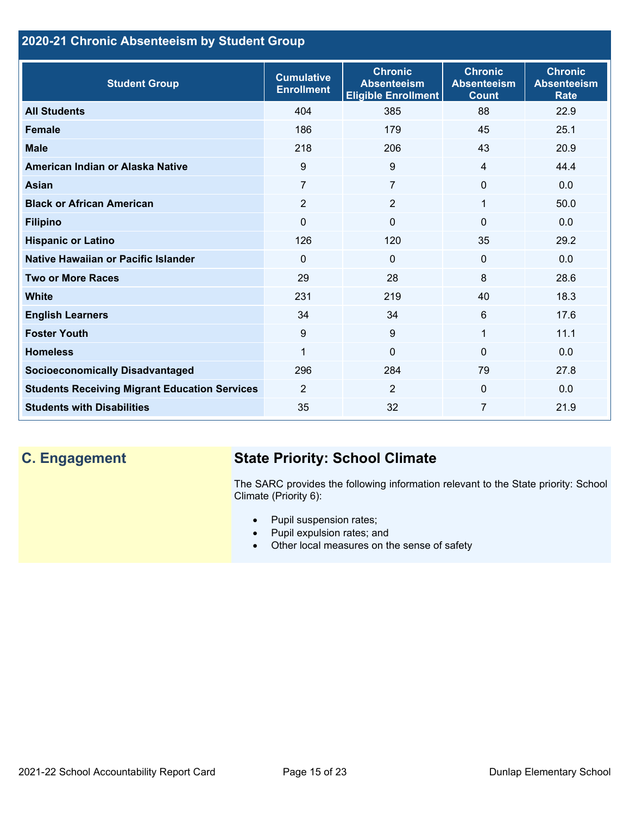## **2020-21 Chronic Absenteeism by Student Group**

| <b>Student Group</b>                                 | <b>Cumulative</b><br><b>Enrollment</b> | <b>Chronic</b><br><b>Absenteeism</b><br><b>Eligible Enrollment</b> | <b>Chronic</b><br><b>Absenteeism</b><br><b>Count</b> | <b>Chronic</b><br><b>Absenteeism</b><br><b>Rate</b> |
|------------------------------------------------------|----------------------------------------|--------------------------------------------------------------------|------------------------------------------------------|-----------------------------------------------------|
| <b>All Students</b>                                  | 404                                    | 385                                                                | 88                                                   | 22.9                                                |
| <b>Female</b>                                        | 186                                    | 179                                                                | 45                                                   | 25.1                                                |
| <b>Male</b>                                          | 218                                    | 206                                                                | 43                                                   | 20.9                                                |
| American Indian or Alaska Native                     | 9                                      | 9                                                                  | $\overline{4}$                                       | 44.4                                                |
| <b>Asian</b>                                         | 7                                      | 7                                                                  | $\mathbf 0$                                          | 0.0                                                 |
| <b>Black or African American</b>                     | $\overline{2}$                         | $\overline{2}$                                                     | 1                                                    | 50.0                                                |
| <b>Filipino</b>                                      | 0                                      | $\mathbf{0}$                                                       | $\mathbf{0}$                                         | 0.0                                                 |
| <b>Hispanic or Latino</b>                            | 126                                    | 120                                                                | 35                                                   | 29.2                                                |
| Native Hawaiian or Pacific Islander                  | $\Omega$                               | $\mathbf 0$                                                        | $\mathbf 0$                                          | 0.0                                                 |
| <b>Two or More Races</b>                             | 29                                     | 28                                                                 | 8                                                    | 28.6                                                |
| <b>White</b>                                         | 231                                    | 219                                                                | 40                                                   | 18.3                                                |
| <b>English Learners</b>                              | 34                                     | 34                                                                 | 6                                                    | 17.6                                                |
| <b>Foster Youth</b>                                  | $9\,$                                  | 9                                                                  | 1                                                    | 11.1                                                |
| <b>Homeless</b>                                      | 1                                      | $\mathbf 0$                                                        | $\Omega$                                             | 0.0                                                 |
| <b>Socioeconomically Disadvantaged</b>               | 296                                    | 284                                                                | 79                                                   | 27.8                                                |
| <b>Students Receiving Migrant Education Services</b> | $\overline{2}$                         | $\overline{2}$                                                     | $\mathbf{0}$                                         | 0.0                                                 |
| <b>Students with Disabilities</b>                    | 35                                     | 32                                                                 | 7                                                    | 21.9                                                |

## **C. Engagement State Priority: School Climate**

The SARC provides the following information relevant to the State priority: School Climate (Priority 6):

- Pupil suspension rates;
- Pupil expulsion rates; and
- Other local measures on the sense of safety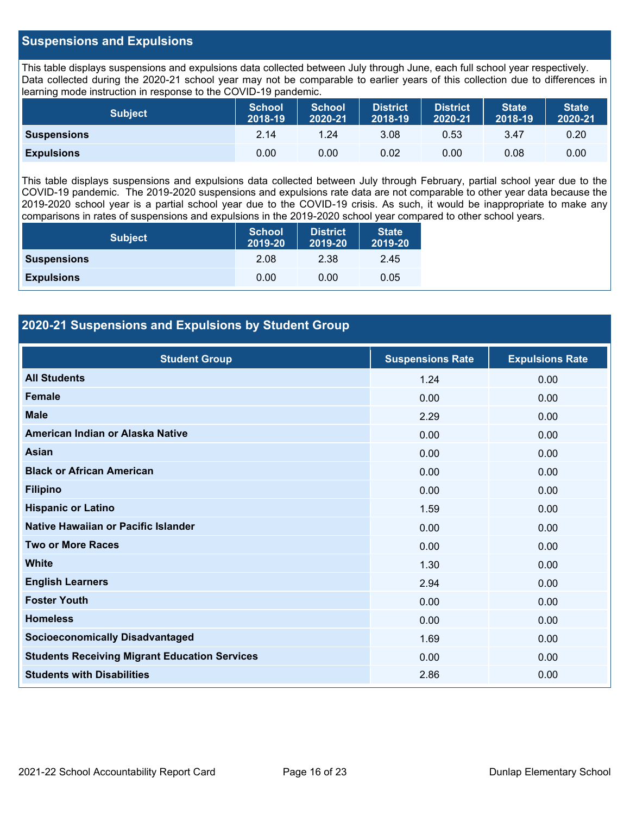## **Suspensions and Expulsions**

This table displays suspensions and expulsions data collected between July through June, each full school year respectively. Data collected during the 2020-21 school year may not be comparable to earlier years of this collection due to differences in learning mode instruction in response to the COVID-19 pandemic.

| <b>Subject</b>     | <b>School</b><br>2018-19 | <b>School</b><br>2020-21 | <b>District</b><br>2018-19 | <b>District</b><br>2020-21 | <b>State</b><br>2018-19 | <b>State</b><br>2020-21 |
|--------------------|--------------------------|--------------------------|----------------------------|----------------------------|-------------------------|-------------------------|
| <b>Suspensions</b> | 2.14                     | 1.24                     | 3.08                       | 0.53                       | 3.47                    | 0.20                    |
| <b>Expulsions</b>  | 0.00                     | 0.00                     | 0.02                       | 0.00                       | 0.08                    | 0.00                    |

This table displays suspensions and expulsions data collected between July through February, partial school year due to the COVID-19 pandemic. The 2019-2020 suspensions and expulsions rate data are not comparable to other year data because the 2019-2020 school year is a partial school year due to the COVID-19 crisis. As such, it would be inappropriate to make any comparisons in rates of suspensions and expulsions in the 2019-2020 school year compared to other school years.

| <b>Subject</b>     | <b>School</b><br>2019-20 | <b>District</b><br>2019-20 | <b>State</b><br>2019-20 |
|--------------------|--------------------------|----------------------------|-------------------------|
| <b>Suspensions</b> | 2.08                     | 2.38                       | 2.45                    |
| <b>Expulsions</b>  | 0.00                     | 0.00                       | 0.05                    |

## **2020-21 Suspensions and Expulsions by Student Group**

| <b>Student Group</b>                                 | <b>Suspensions Rate</b> | <b>Expulsions Rate</b> |
|------------------------------------------------------|-------------------------|------------------------|
| <b>All Students</b>                                  | 1.24                    | 0.00                   |
| <b>Female</b>                                        | 0.00                    | 0.00                   |
| <b>Male</b>                                          | 2.29                    | 0.00                   |
| American Indian or Alaska Native                     | 0.00                    | 0.00                   |
| <b>Asian</b>                                         | 0.00                    | 0.00                   |
| <b>Black or African American</b>                     | 0.00                    | 0.00                   |
| <b>Filipino</b>                                      | 0.00                    | 0.00                   |
| <b>Hispanic or Latino</b>                            | 1.59                    | 0.00                   |
| Native Hawaiian or Pacific Islander                  | 0.00                    | 0.00                   |
| <b>Two or More Races</b>                             | 0.00                    | 0.00                   |
| <b>White</b>                                         | 1.30                    | 0.00                   |
| <b>English Learners</b>                              | 2.94                    | 0.00                   |
| <b>Foster Youth</b>                                  | 0.00                    | 0.00                   |
| <b>Homeless</b>                                      | 0.00                    | 0.00                   |
| <b>Socioeconomically Disadvantaged</b>               | 1.69                    | 0.00                   |
| <b>Students Receiving Migrant Education Services</b> | 0.00                    | 0.00                   |
| <b>Students with Disabilities</b>                    | 2.86                    | 0.00                   |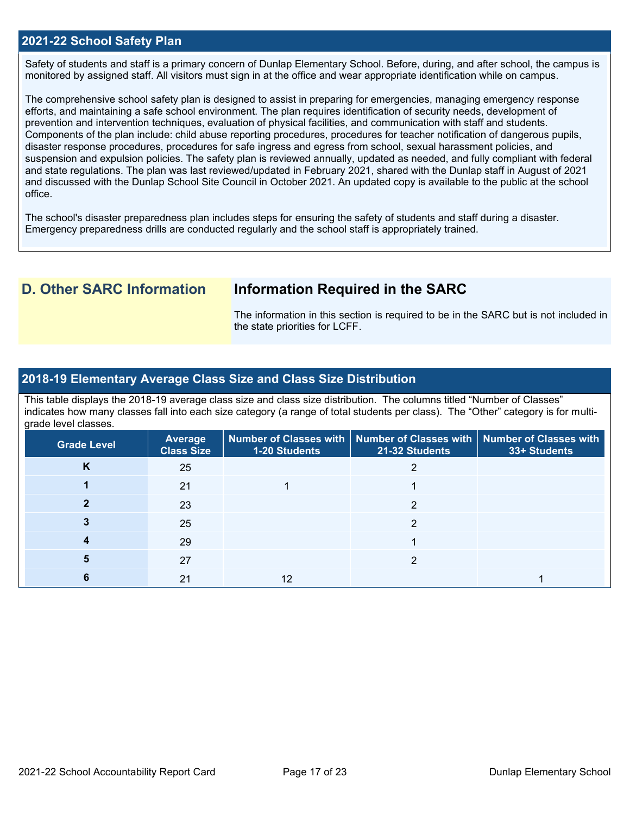## **2021-22 School Safety Plan**

Safety of students and staff is a primary concern of Dunlap Elementary School. Before, during, and after school, the campus is monitored by assigned staff. All visitors must sign in at the office and wear appropriate identification while on campus.

The comprehensive school safety plan is designed to assist in preparing for emergencies, managing emergency response efforts, and maintaining a safe school environment. The plan requires identification of security needs, development of prevention and intervention techniques, evaluation of physical facilities, and communication with staff and students. Components of the plan include: child abuse reporting procedures, procedures for teacher notification of dangerous pupils, disaster response procedures, procedures for safe ingress and egress from school, sexual harassment policies, and suspension and expulsion policies. The safety plan is reviewed annually, updated as needed, and fully compliant with federal and state regulations. The plan was last reviewed/updated in February 2021, shared with the Dunlap staff in August of 2021 and discussed with the Dunlap School Site Council in October 2021. An updated copy is available to the public at the school office.

The school's disaster preparedness plan includes steps for ensuring the safety of students and staff during a disaster. Emergency preparedness drills are conducted regularly and the school staff is appropriately trained.

## **D. Other SARC Information Information Required in the SARC**

The information in this section is required to be in the SARC but is not included in the state priorities for LCFF.

### **2018-19 Elementary Average Class Size and Class Size Distribution**

This table displays the 2018-19 average class size and class size distribution. The columns titled "Number of Classes" indicates how many classes fall into each size category (a range of total students per class). The "Other" category is for multigrade level classes.

| <b>Grade Level</b> | Average<br><b>Class Size</b> | <b>1-20 Students</b> | Number of Classes with   Number of Classes with   Number of Classes with<br>21-32 Students | 33+ Students |
|--------------------|------------------------------|----------------------|--------------------------------------------------------------------------------------------|--------------|
| Κ                  | 25                           |                      |                                                                                            |              |
|                    | 21                           |                      |                                                                                            |              |
|                    | 23                           |                      | 2                                                                                          |              |
|                    | 25                           |                      | ◠                                                                                          |              |
|                    | 29                           |                      |                                                                                            |              |
|                    | 27                           |                      | ◠                                                                                          |              |
|                    | 21                           |                      |                                                                                            |              |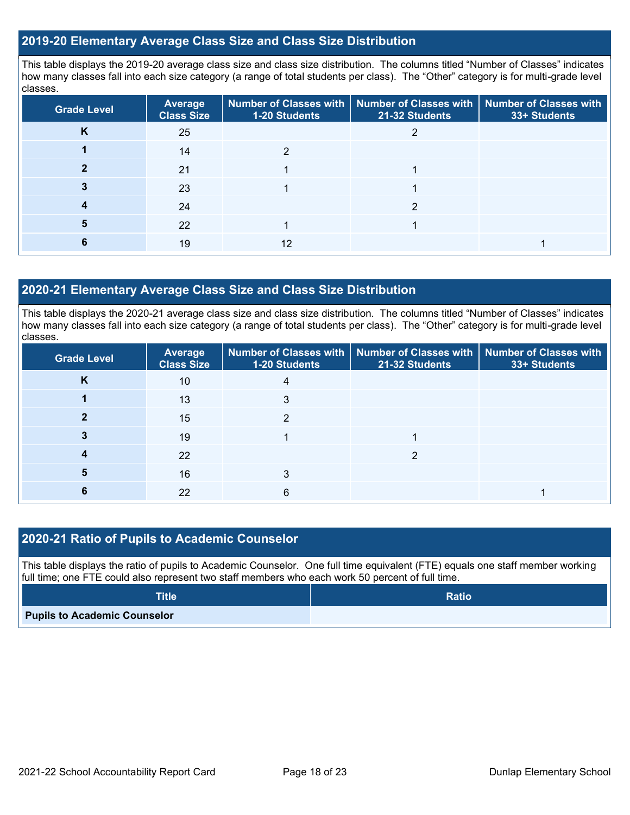## **2019-20 Elementary Average Class Size and Class Size Distribution**

This table displays the 2019-20 average class size and class size distribution. The columns titled "Number of Classes" indicates how many classes fall into each size category (a range of total students per class). The "Other" category is for multi-grade level classes.

| <b>Grade Level</b> | Average<br><b>Class Size</b> | 1-20 Students | Number of Classes with   Number of Classes with   Number of Classes with<br>21-32 Students | 33+ Students |
|--------------------|------------------------------|---------------|--------------------------------------------------------------------------------------------|--------------|
| n.                 | 25                           |               |                                                                                            |              |
|                    | 14                           |               |                                                                                            |              |
|                    | 21                           |               |                                                                                            |              |
|                    | 23                           |               |                                                                                            |              |
|                    | 24                           |               |                                                                                            |              |
|                    | 22                           |               |                                                                                            |              |
|                    | 19                           | 12            |                                                                                            |              |

## **2020-21 Elementary Average Class Size and Class Size Distribution**

This table displays the 2020-21 average class size and class size distribution. The columns titled "Number of Classes" indicates how many classes fall into each size category (a range of total students per class). The "Other" category is for multi-grade level classes.

| <b>Grade Level</b> | <b>Average</b><br><b>Class Size</b> | 1-20 Students | Number of Classes with   Number of Classes with   Number of Classes with<br>21-32 Students | 33+ Students |
|--------------------|-------------------------------------|---------------|--------------------------------------------------------------------------------------------|--------------|
| K                  | 10                                  |               |                                                                                            |              |
|                    | 13                                  | 3             |                                                                                            |              |
|                    | 15                                  | າ             |                                                                                            |              |
|                    | 19                                  |               |                                                                                            |              |
|                    | 22                                  |               | ≘                                                                                          |              |
|                    | 16                                  |               |                                                                                            |              |
|                    | 22                                  | 6             |                                                                                            |              |

## **2020-21 Ratio of Pupils to Academic Counselor**

This table displays the ratio of pupils to Academic Counselor. One full time equivalent (FTE) equals one staff member working full time; one FTE could also represent two staff members who each work 50 percent of full time.

| <b>Title</b>                        | <b>Ratio</b> |
|-------------------------------------|--------------|
| <b>Pupils to Academic Counselor</b> |              |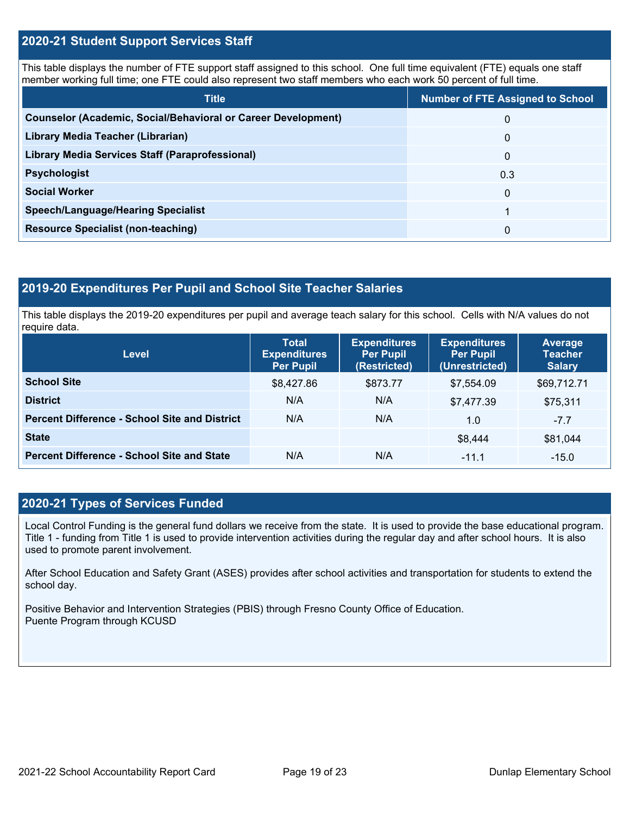## **2020-21 Student Support Services Staff**

This table displays the number of FTE support staff assigned to this school. One full time equivalent (FTE) equals one staff member working full time; one FTE could also represent two staff members who each work 50 percent of full time.

| <b>Title</b>                                                         | <b>Number of FTE Assigned to School</b> |
|----------------------------------------------------------------------|-----------------------------------------|
| <b>Counselor (Academic, Social/Behavioral or Career Development)</b> | 0                                       |
| Library Media Teacher (Librarian)                                    | $\Omega$                                |
| Library Media Services Staff (Paraprofessional)                      | 0                                       |
| <b>Psychologist</b>                                                  | 0.3                                     |
| <b>Social Worker</b>                                                 | $\Omega$                                |
| <b>Speech/Language/Hearing Specialist</b>                            | 1                                       |
| <b>Resource Specialist (non-teaching)</b>                            | 0                                       |

### **2019-20 Expenditures Per Pupil and School Site Teacher Salaries**

This table displays the 2019-20 expenditures per pupil and average teach salary for this school. Cells with N/A values do not require data.

| Level                                                | <b>Total</b><br><b>Expenditures</b><br>Per Pupil | <b>Expenditures</b><br><b>Per Pupil</b><br>(Restricted) | <b>Expenditures</b><br><b>Per Pupil</b><br>(Unrestricted) | Average<br><b>Teacher</b><br><b>Salary</b> |
|------------------------------------------------------|--------------------------------------------------|---------------------------------------------------------|-----------------------------------------------------------|--------------------------------------------|
| <b>School Site</b>                                   | \$8,427.86                                       | \$873.77                                                | \$7.554.09                                                | \$69,712.71                                |
| <b>District</b>                                      | N/A                                              | N/A                                                     | \$7,477.39                                                | \$75,311                                   |
| <b>Percent Difference - School Site and District</b> | N/A                                              | N/A                                                     | 1.0                                                       | $-7.7$                                     |
| <b>State</b>                                         |                                                  |                                                         | \$8,444                                                   | \$81,044                                   |
| <b>Percent Difference - School Site and State</b>    | N/A                                              | N/A                                                     | $-11.1$                                                   | $-15.0$                                    |

## **2020-21 Types of Services Funded**

Local Control Funding is the general fund dollars we receive from the state. It is used to provide the base educational program. Title 1 - funding from Title 1 is used to provide intervention activities during the regular day and after school hours. It is also used to promote parent involvement.

After School Education and Safety Grant (ASES) provides after school activities and transportation for students to extend the school day.

Positive Behavior and Intervention Strategies (PBIS) through Fresno County Office of Education. Puente Program through KCUSD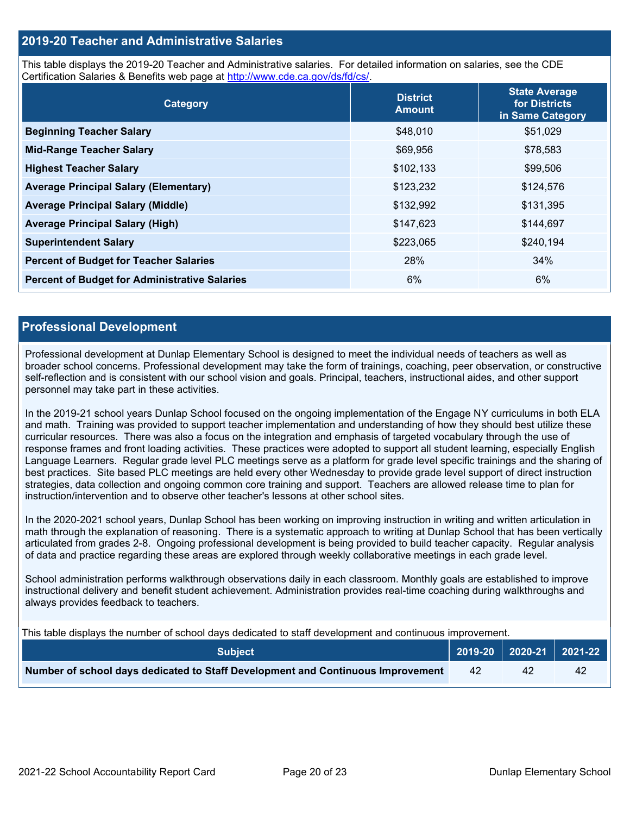## **2019-20 Teacher and Administrative Salaries**

This table displays the 2019-20 Teacher and Administrative salaries. For detailed information on salaries, see the CDE Certification Salaries & Benefits web page at [http://www.cde.ca.gov/ds/fd/cs/.](http://www.cde.ca.gov/ds/fd/cs/)

| Category                                             | <b>District</b><br><b>Amount</b> | <b>State Average</b><br>for Districts<br>in Same Category |
|------------------------------------------------------|----------------------------------|-----------------------------------------------------------|
| <b>Beginning Teacher Salary</b>                      | \$48,010                         | \$51,029                                                  |
| <b>Mid-Range Teacher Salary</b>                      | \$69,956                         | \$78,583                                                  |
| <b>Highest Teacher Salary</b>                        | \$102,133                        | \$99,506                                                  |
| <b>Average Principal Salary (Elementary)</b>         | \$123,232                        | \$124,576                                                 |
| <b>Average Principal Salary (Middle)</b>             | \$132,992                        | \$131,395                                                 |
| <b>Average Principal Salary (High)</b>               | \$147,623                        | \$144,697                                                 |
| <b>Superintendent Salary</b>                         | \$223,065                        | \$240,194                                                 |
| <b>Percent of Budget for Teacher Salaries</b>        | 28%                              | 34%                                                       |
| <b>Percent of Budget for Administrative Salaries</b> | 6%                               | 6%                                                        |

### **Professional Development**

Professional development at Dunlap Elementary School is designed to meet the individual needs of teachers as well as broader school concerns. Professional development may take the form of trainings, coaching, peer observation, or constructive self-reflection and is consistent with our school vision and goals. Principal, teachers, instructional aides, and other support personnel may take part in these activities.

In the 2019-21 school years Dunlap School focused on the ongoing implementation of the Engage NY curriculums in both ELA and math. Training was provided to support teacher implementation and understanding of how they should best utilize these curricular resources. There was also a focus on the integration and emphasis of targeted vocabulary through the use of response frames and front loading activities. These practices were adopted to support all student learning, especially English Language Learners. Regular grade level PLC meetings serve as a platform for grade level specific trainings and the sharing of best practices. Site based PLC meetings are held every other Wednesday to provide grade level support of direct instruction strategies, data collection and ongoing common core training and support. Teachers are allowed release time to plan for instruction/intervention and to observe other teacher's lessons at other school sites.

In the 2020-2021 school years, Dunlap School has been working on improving instruction in writing and written articulation in math through the explanation of reasoning. There is a systematic approach to writing at Dunlap School that has been vertically articulated from grades 2-8. Ongoing professional development is being provided to build teacher capacity. Regular analysis of data and practice regarding these areas are explored through weekly collaborative meetings in each grade level.

School administration performs walkthrough observations daily in each classroom. Monthly goals are established to improve instructional delivery and benefit student achievement. Administration provides real-time coaching during walkthroughs and always provides feedback to teachers.

This table displays the number of school days dedicated to staff development and continuous improvement.

| <b>Subiect</b>                                                                  |     | 2019-20   2020-21   2021-22 |
|---------------------------------------------------------------------------------|-----|-----------------------------|
| Number of school days dedicated to Staff Development and Continuous Improvement | -42 | 42                          |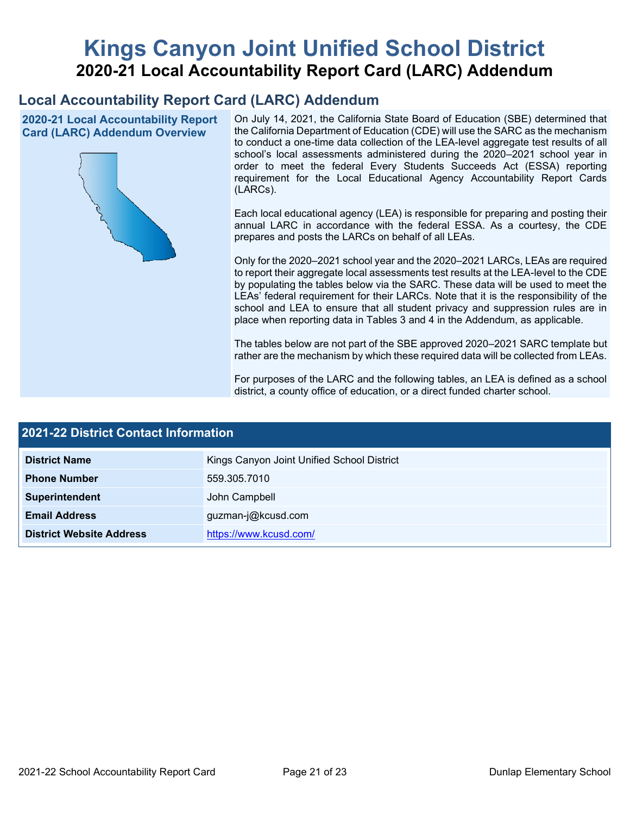# **Kings Canyon Joint Unified School District 2020-21 Local Accountability Report Card (LARC) Addendum**

## **Local Accountability Report Card (LARC) Addendum**

**2020-21 Local Accountability Report Card (LARC) Addendum Overview**



On July 14, 2021, the California State Board of Education (SBE) determined that the California Department of Education (CDE) will use the SARC as the mechanism to conduct a one-time data collection of the LEA-level aggregate test results of all school's local assessments administered during the 2020–2021 school year in order to meet the federal Every Students Succeeds Act (ESSA) reporting requirement for the Local Educational Agency Accountability Report Cards (LARCs).

Each local educational agency (LEA) is responsible for preparing and posting their annual LARC in accordance with the federal ESSA. As a courtesy, the CDE prepares and posts the LARCs on behalf of all LEAs.

Only for the 2020–2021 school year and the 2020–2021 LARCs, LEAs are required to report their aggregate local assessments test results at the LEA-level to the CDE by populating the tables below via the SARC. These data will be used to meet the LEAs' federal requirement for their LARCs. Note that it is the responsibility of the school and LEA to ensure that all student privacy and suppression rules are in place when reporting data in Tables 3 and 4 in the Addendum, as applicable.

The tables below are not part of the SBE approved 2020–2021 SARC template but rather are the mechanism by which these required data will be collected from LEAs.

For purposes of the LARC and the following tables, an LEA is defined as a school district, a county office of education, or a direct funded charter school.

| <b>2021-22 District Contact Information</b> |                                            |  |  |  |
|---------------------------------------------|--------------------------------------------|--|--|--|
| <b>District Name</b>                        | Kings Canyon Joint Unified School District |  |  |  |
| <b>Phone Number</b>                         | 559.305.7010                               |  |  |  |
| Superintendent                              | John Campbell                              |  |  |  |
| <b>Email Address</b>                        | guzman-j@kcusd.com                         |  |  |  |
| <b>District Website Address</b>             | https://www.kcusd.com/                     |  |  |  |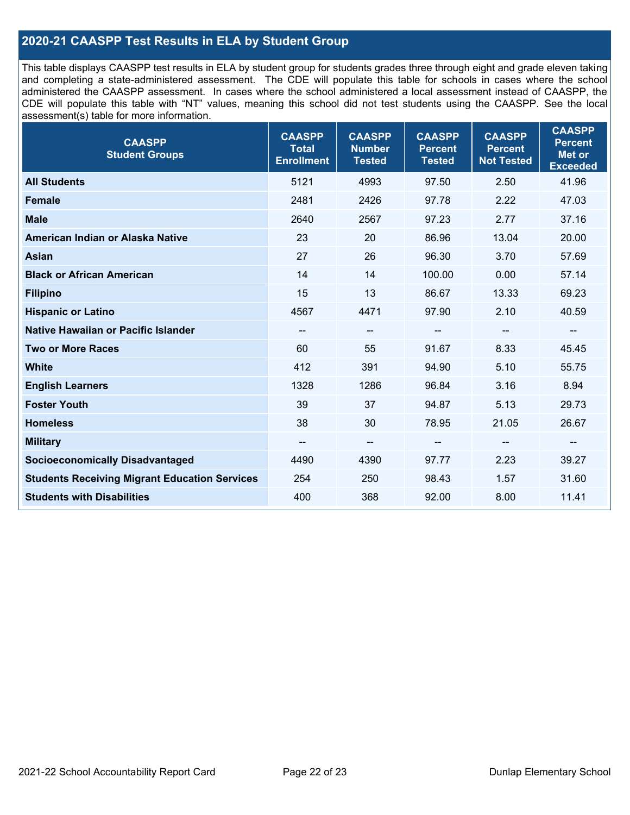## **2020-21 CAASPP Test Results in ELA by Student Group**

This table displays CAASPP test results in ELA by student group for students grades three through eight and grade eleven taking and completing a state-administered assessment. The CDE will populate this table for schools in cases where the school administered the CAASPP assessment. In cases where the school administered a local assessment instead of CAASPP, the CDE will populate this table with "NT" values, meaning this school did not test students using the CAASPP. See the local assessment(s) table for more information.

| <b>CAASPP</b><br><b>Student Groups</b>               | <b>CAASPP</b><br><b>Total</b><br><b>Enrollment</b> | <b>CAASPP</b><br><b>Number</b><br><b>Tested</b> | <b>CAASPP</b><br><b>Percent</b><br><b>Tested</b> | <b>CAASPP</b><br><b>Percent</b><br><b>Not Tested</b> | <b>CAASPP</b><br><b>Percent</b><br><b>Met or</b><br><b>Exceeded</b> |
|------------------------------------------------------|----------------------------------------------------|-------------------------------------------------|--------------------------------------------------|------------------------------------------------------|---------------------------------------------------------------------|
| <b>All Students</b>                                  | 5121                                               | 4993                                            | 97.50                                            | 2.50                                                 | 41.96                                                               |
| <b>Female</b>                                        | 2481                                               | 2426                                            | 97.78                                            | 2.22                                                 | 47.03                                                               |
| <b>Male</b>                                          | 2640                                               | 2567                                            | 97.23                                            | 2.77                                                 | 37.16                                                               |
| American Indian or Alaska Native                     | 23                                                 | 20                                              | 86.96                                            | 13.04                                                | 20.00                                                               |
| <b>Asian</b>                                         | 27                                                 | 26                                              | 96.30                                            | 3.70                                                 | 57.69                                                               |
| <b>Black or African American</b>                     | 14                                                 | 14                                              | 100.00                                           | 0.00                                                 | 57.14                                                               |
| <b>Filipino</b>                                      | 15                                                 | 13                                              | 86.67                                            | 13.33                                                | 69.23                                                               |
| <b>Hispanic or Latino</b>                            | 4567                                               | 4471                                            | 97.90                                            | 2.10                                                 | 40.59                                                               |
| <b>Native Hawaiian or Pacific Islander</b>           | --                                                 | $\overline{\phantom{a}}$                        | --                                               | $\overline{\phantom{a}}$                             | --                                                                  |
| <b>Two or More Races</b>                             | 60                                                 | 55                                              | 91.67                                            | 8.33                                                 | 45.45                                                               |
| <b>White</b>                                         | 412                                                | 391                                             | 94.90                                            | 5.10                                                 | 55.75                                                               |
| <b>English Learners</b>                              | 1328                                               | 1286                                            | 96.84                                            | 3.16                                                 | 8.94                                                                |
| <b>Foster Youth</b>                                  | 39                                                 | 37                                              | 94.87                                            | 5.13                                                 | 29.73                                                               |
| <b>Homeless</b>                                      | 38                                                 | 30                                              | 78.95                                            | 21.05                                                | 26.67                                                               |
| <b>Military</b>                                      | --                                                 | --                                              | --                                               | --                                                   | $\overline{\phantom{m}}$                                            |
| <b>Socioeconomically Disadvantaged</b>               | 4490                                               | 4390                                            | 97.77                                            | 2.23                                                 | 39.27                                                               |
| <b>Students Receiving Migrant Education Services</b> | 254                                                | 250                                             | 98.43                                            | 1.57                                                 | 31.60                                                               |
| <b>Students with Disabilities</b>                    | 400                                                | 368                                             | 92.00                                            | 8.00                                                 | 11.41                                                               |